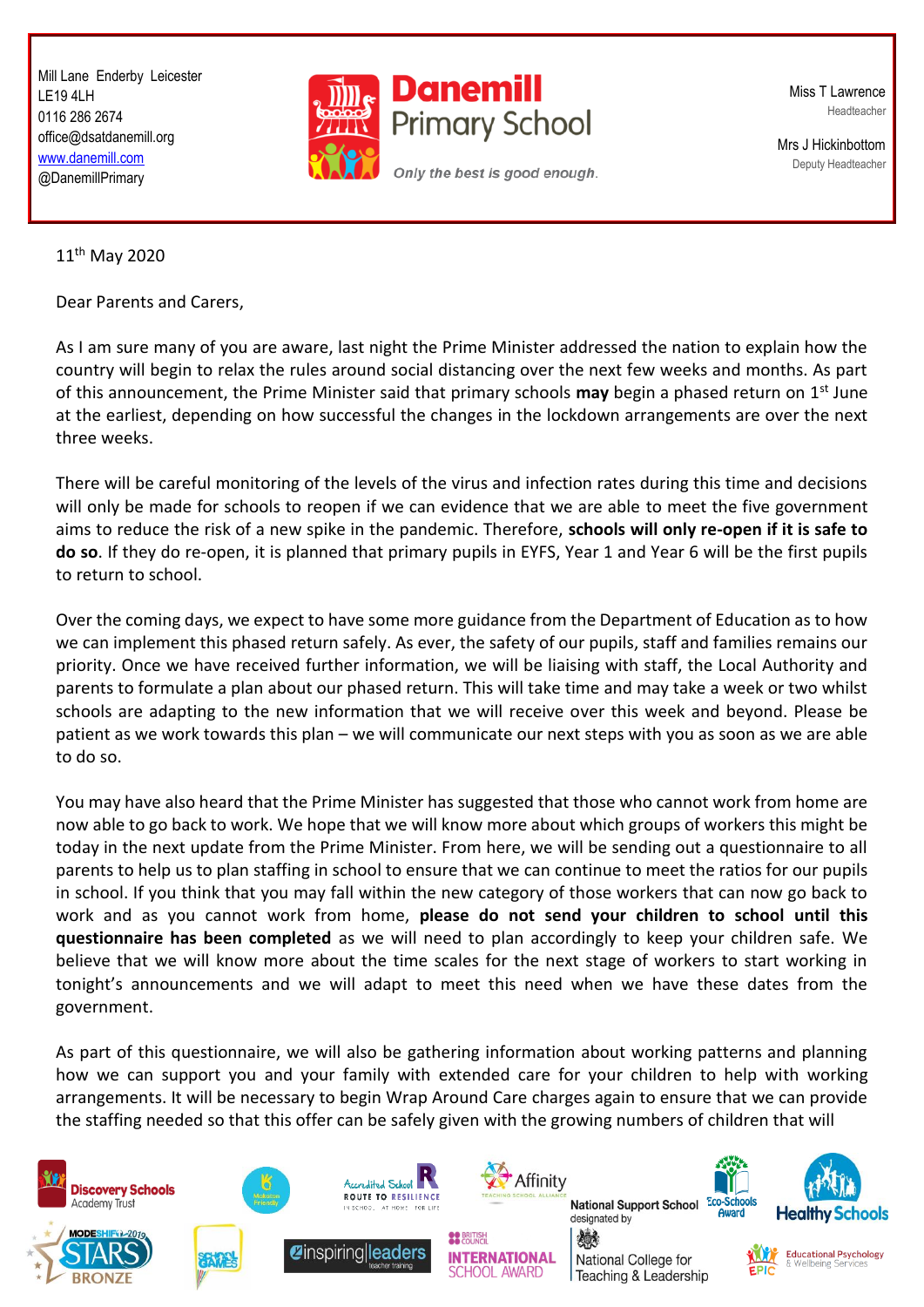Mill Lane Enderby Leicester LE19 4LH 0116 286 2674 office@dsatdanemill.org [www.danemill.com](http://www.danemill.com/) @DanemillPrimary



Miss T Lawrence Headteacher

Mrs J Hickinbottom Deputy Headteacher

11th May 2020

Dear Parents and Carers,

As I am sure many of you are aware, last night the Prime Minister addressed the nation to explain how the country will begin to relax the rules around social distancing over the next few weeks and months. As part of this announcement, the Prime Minister said that primary schools **may** begin a phased return on 1st June at the earliest, depending on how successful the changes in the lockdown arrangements are over the next three weeks.

There will be careful monitoring of the levels of the virus and infection rates during this time and decisions will only be made for schools to reopen if we can evidence that we are able to meet the five government aims to reduce the risk of a new spike in the pandemic. Therefore, **schools will only re-open if it is safe to do so**. If they do re-open, it is planned that primary pupils in EYFS, Year 1 and Year 6 will be the first pupils to return to school.

Over the coming days, we expect to have some more guidance from the Department of Education as to how we can implement this phased return safely. As ever, the safety of our pupils, staff and families remains our priority. Once we have received further information, we will be liaising with staff, the Local Authority and parents to formulate a plan about our phased return. This will take time and may take a week or two whilst schools are adapting to the new information that we will receive over this week and beyond. Please be patient as we work towards this plan – we will communicate our next steps with you as soon as we are able to do so.

You may have also heard that the Prime Minister has suggested that those who cannot work from home are now able to go back to work. We hope that we will know more about which groups of workers this might be today in the next update from the Prime Minister. From here, we will be sending out a questionnaire to all parents to help us to plan staffing in school to ensure that we can continue to meet the ratios for our pupils in school. If you think that you may fall within the new category of those workers that can now go back to work and as you cannot work from home, **please do not send your children to school until this questionnaire has been completed** as we will need to plan accordingly to keep your children safe. We believe that we will know more about the time scales for the next stage of workers to start working in tonight's announcements and we will adapt to meet this need when we have these dates from the government.

As part of this questionnaire, we will also be gathering information about working patterns and planning how we can support you and your family with extended care for your children to help with working arrangements. It will be necessary to begin Wrap Around Care charges again to ensure that we can provide the staffing needed so that this offer can be safely given with the growing numbers of children that will